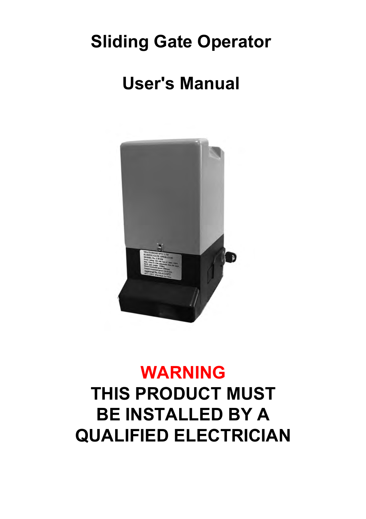## **Sliding Gate Operator**

## **User's Manual**



# **WARNING THIS PRODUCT MUST BE INSTALLED BY A QUALIFIED ELECTRICIAN**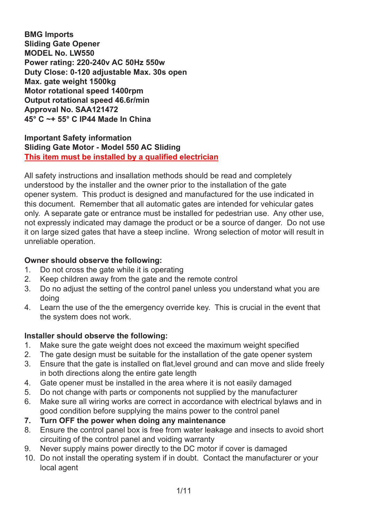**BMG Imports Sliding Gate Opener MODEL No. LW550 Power rating: 220-240v AC 50Hz 550w Duty Close: 0-120 adjustable Max. 30s open Max. gate weight 1500kg Motor rotational speed 1400rpm Output rotational speed 46.6r/min Approval No. SAA121472 45° C ~+ 55° C IP44 Made In China**

#### **Important Safety information Sliding Gate Motor - Model 550 AC Sliding This item must be installed by a qualified electrician**

All safety instructions and insallation methods should be read and completely understood by the installer and the owner prior to the installation of the gate opener system. This product is designed and manufactured for the use indicated in this document. Remember that all automatic gates are intended for vehicular gates only. A separate gate or entrance must be installed for pedestrian use. Any other use, not expressly indicated may damage the product or be a source of danger. Do not use it on large sized gates that have a steep incline. Wrong selection of motor will result in unreliable operation.

## **Owner should observe the following:**<br>1 Do not cross the gate while it is ope

- 1. Do not cross the gate while it is operating
- 2. Keep children away from the gate and the remote control
- 3. Do no adjust the setting of the control panel unless you understand what you are doing
- 4. Learn the use of the the emergency override key. This is crucial in the event that the system does not work.

#### **Installer should observe the following:**

- 1. Make sure the gate weight does not exceed the maximum weight specified
- 2. The gate design must be suitable for the installation of the gate opener system
- 3. Ensure that the gate is installed on flat,level ground and can move and slide freely in both directions along the entire gate length
- 4. Gate opener must be installed in the area where it is not easily damaged
- 5. Do not change with parts or components not supplied by the manufacturer
- 6. Make sure all wiring works are correct in accordance with electrical bylaws and in good condition before supplying the mains power to the control panel
- **7. Turn OFF the power when doing any maintenance**
- 8. Ensure the control panel box is free from water leakage and insects to avoid short circuiting of the control panel and voiding warranty
- 9. Never supply mains power directly to the DC motor if cover is damaged
- 10. Do not install the operating system if in doubt. Contact the manufacturer or your local agent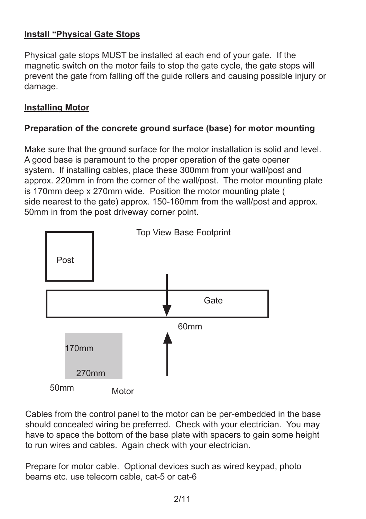## **Install "Physical Gate Stops**

Physical gate stops MUST be installed at each end of your gate. If the magnetic switch on the motor fails to stop the gate cycle, the gate stops will prevent the gate from falling off the guide rollers and causing possible injury or damage.

#### **Installing Motor**

#### **Preparation of the concrete ground surface (base) for motor mounting**

Make sure that the ground surface for the motor installation is solid and level. A good base is paramount to the proper operation of the gate opener system. If installing cables, place these 300mm from your wall/post and approx. 220mm in from the corner of the wall/post. The motor mounting plate is 170mm deep x 270mm wide. Position the motor mounting plate ( side nearest to the gate) approx. 150-160mm from the wall/post and approx. 50mm in from the post driveway corner point.



Cables from the control panel to the motor can be per-embedded in the base should concealed wiring be preferred. Check with your electrician. You may have to space the bottom of the base plate with spacers to gain some height to run wires and cables. Again check with your electrician.

Prepare for motor cable. Optional devices such as wired keypad, photo beams etc. use telecom cable, cat-5 or cat-6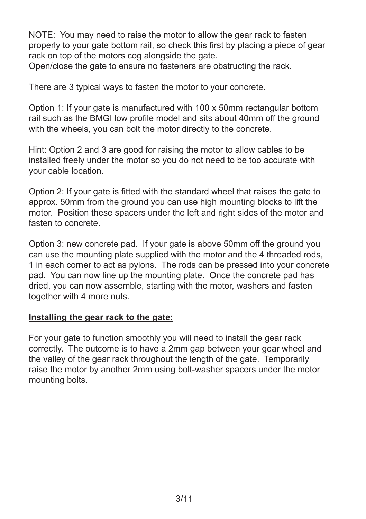NOTE: You may need to raise the motor to allow the gear rack to fasten properly to your gate bottom rail, so check this first by placing a piece of gear rack on top of the motors cog alongside the gate.

Open/close the gate to ensure no fasteners are obstructing the rack.

There are 3 typical ways to fasten the motor to your concrete.

Option 1: If your gate is manufactured with 100 x 50mm rectangular bottom rail such as the BMGI low profile model and sits about 40mm off the ground with the wheels, you can bolt the motor directly to the concrete.

Hint: Option 2 and 3 are good for raising the motor to allow cables to be installed freely under the motor so you do not need to be too accurate with your cable location.

Option 2: If your gate is fitted with the standard wheel that raises the gate to approx. 50mm from the ground you can use high mounting blocks to lift the motor. Position these spacers under the left and right sides of the motor and fasten to concrete.

Option 3: new concrete pad. If your gate is above 50mm off the ground you can use the mounting plate supplied with the motor and the 4 threaded rods, 1 in each corner to act as pylons. The rods can be pressed into your concrete pad. You can now line up the mounting plate. Once the concrete pad has dried, you can now assemble, starting with the motor, washers and fasten together with 4 more nuts.

#### **Installing the gear rack to the gate:**

For your gate to function smoothly you will need to install the gear rack correctly. The outcome is to have a 2mm gap between your gear wheel and the valley of the gear rack throughout the length of the gate. Temporarily raise the motor by another 2mm using bolt-washer spacers under the motor mounting bolts.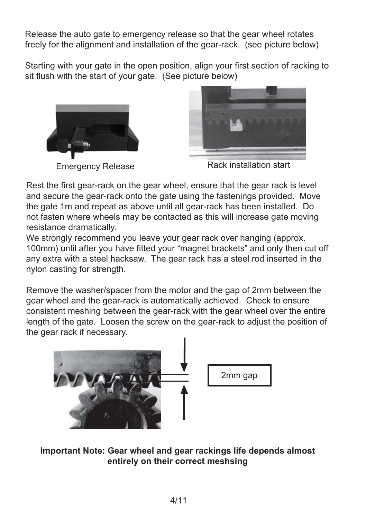Release the auto gate to emergency release so that the gear wheel rotates freely for the alignment and installation of the gear-rack. (see picture below)

Starting with your gate in the open position, align your first section of racking to sit flush with the start of your gate. (See picture below)





Rest the first gear-rack on the gear wheel, ensure that the gear rack is level and secure the gear-rack onto the gate using the fastenings provided. Move the gate 1m and repeat as above until all gear-rack has been installed. Do not fasten where wheels may be contacted as this will increase gate moving resistance dramatically.

We strongly recommend you leave your gear rack over hanging (approx. 100mm) until after you have fitted your "magnet brackets" and only then cut off any extra with a steel hacksaw. The gear rack has a steel rod inserted in the nylon casting for strength.

Remove the washer/spacer from the motor and the gap of 2mm between the gear wheel and the gear-rack is automatically achieved. Check to ensure consistent meshing between the gear-rack with the gear wheel over the entire length of the gate. Loosen the screw on the gear-rack to adjust the position of the gear rack if necessary.



**Important Note: Gear wheel and gear rackings life depends almost entirely on their correct meshsing**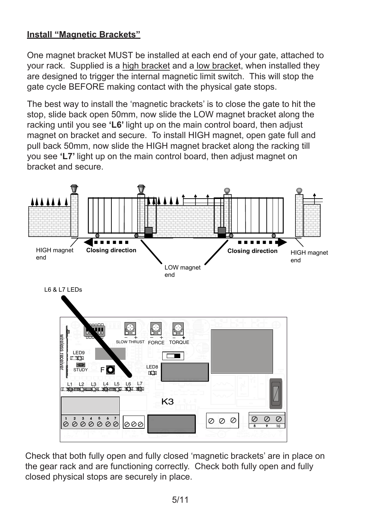## **Install "Magnetic Brackets"**

One magnet bracket MUST be installed at each end of your gate, attached to your rack. Supplied is a high bracket and a low bracket, when installed they are designed to trigger the internal magnetic limit switch. This will stop the gate cycle BEFORE making contact with the physical gate stops.

The best way to install the 'magnetic brackets' is to close the gate to hit the stop, slide back open 50mm, now slide the LOW magnet bracket along the racking until you see **'L6'** light up on the main control board, then adjust magnet on bracket and secure. To install HIGH magnet, open gate full and pull back 50mm, now slide the HIGH magnet bracket along the racking till you see **'L7'** light up on the main control board, then adjust magnet on bracket and secure.



Check that both fully open and fully closed 'magnetic brackets' are in place on the gear rack and are functioning correctly. Check both fully open and fully closed physical stops are securely in place.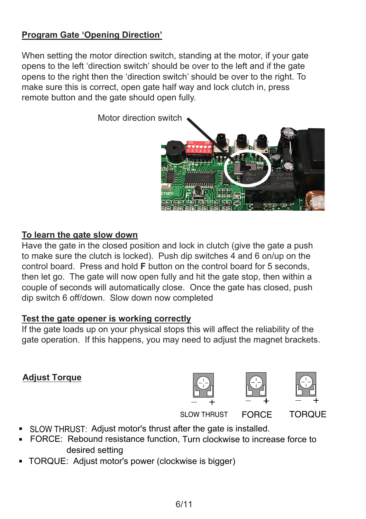## **Program Gate 'Opening Direction'**

When setting the motor direction switch, standing at the motor, if your gate opens to the left 'direction switch' should be over to the left and if the gate opens to the right then the 'direction switch' should be over to the right. To make sure this is correct, open gate half way and lock clutch in, press remote button and the gate should open fully.

Motor direction switch

#### **To learn the gate slow down**

Have the gate in the closed position and lock in clutch (give the gate a push to make sure the clutch is locked). Push dip switches 4 and 6 on/up on the control board. Press and hold **F** button on the control board for 5 seconds, then let go. The gate will now open fully and hit the gate stop, then within a couple of seconds will automatically close. Once the gate has closed, push dip switch 6 off/down. Slow down now completed

#### **Test the gate opener is working correctly**

If the gate loads up on your physical stops this will affect the reliability of the gate operation. If this happens, you may need to adjust the magnet brackets.

### **Adjust Torque**

- SLOW THRUST: Adjust motor's thrust after the gate is installed.
- FORCE: Rebound resistance function, Turn clockwise to increase force to desired setting
- TORQUE: Adjust motor's power (clockwise is bigger)







FORCE TORQUE



SLOW THRUST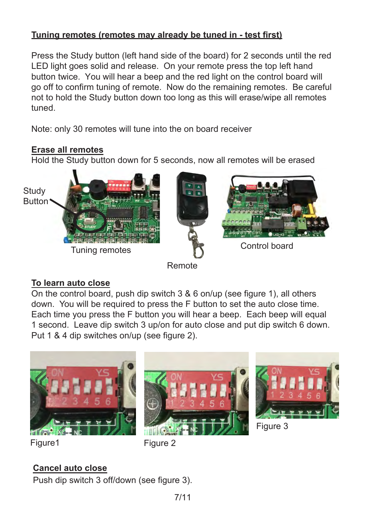## **Tuning remotes (remotes may already be tuned in - test first)**

Press the Study button (left hand side of the board) for 2 seconds until the red LED light goes solid and release. On your remote press the top left hand button twice. You will hear a beep and the red light on the control board will go off to confirm tuning of remote. Now do the remaining remotes. Be careful not to hold the Study button down too long as this will erase/wipe all remotes tuned.

Note: only 30 remotes will tune into the on board receiver

#### **Erase all remotes**

Hold the Study button down for 5 seconds, now all remotes will be erased







## Remote

### **To learn auto close**

On the control board, push dip switch 3 & 6 on/up (see figure 1), all others down. You will be required to press the F button to set the auto close time. Each time you press the F button you will hear a beep. Each beep will equal 1 second. Leave dip switch 3 up/on for auto close and put dip switch 6 down. Put 1 & 4 dip switches on/up (see figure 2).







Figure 3

Figure 1 Figure 2

## **Cancel auto close**

Push dip switch 3 off/down (see figure 3).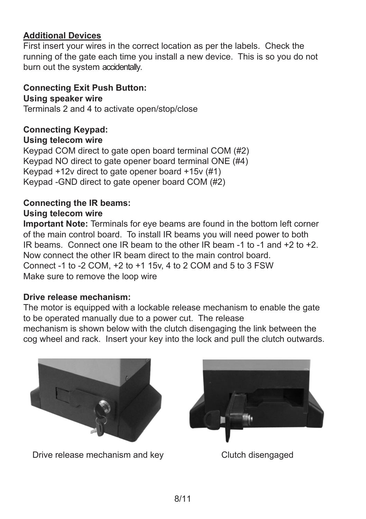### **Additional Devices**

First insert your wires in the correct location as per the labels. Check the running of the gate each time you install a new device. This is so you do not burn out the system accidentally.

**Connecting Exit Push Button: Using speaker wire** Terminals 2 and 4 to activate open/stop/close

#### **Connecting Keypad: Using telecom wire**

Keypad COM direct to gate open board terminal COM (#2) Keypad NO direct to gate opener board terminal ONE (#4) Keypad +12v direct to gate opener board +15v (#1) Keypad -GND direct to gate opener board COM (#2)

## **Connecting the IR beams: Using telecom wire**

**Important Note:** Terminals for eye beams are found in the bottom left corner of the main control board. To install IR beams you will need power to both IR beams. Connect one IR beam to the other IR beam -1 to -1 and +2 to +2. Now connect the other IR beam direct to the main control board. Connect -1 to -2 COM, +2 to +1 15v, 4 to 2 COM and 5 to 3 FSW Make sure to remove the loop wire

### **Drive release mechanism:**

The motor is equipped with a lockable release mechanism to enable the gate to be operated manually due to a power cut. The release mechanism is shown below with the clutch disengaging the link between the cog wheel and rack. Insert your key into the lock and pull the clutch outwards.



Drive release mechanism and key Clutch disengaged

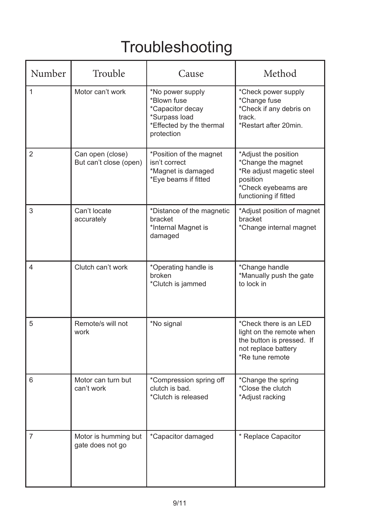# Troubleshooting

| Number | Trouble                                    | Cause                                                                                                          | Method                                                                                                                             |
|--------|--------------------------------------------|----------------------------------------------------------------------------------------------------------------|------------------------------------------------------------------------------------------------------------------------------------|
| 1      | Motor can't work                           | *No power supply<br>*Blown fuse<br>*Capacitor decay<br>*Surpass load<br>*Effected by the thermal<br>protection | *Check power supply<br>*Change fuse<br>*Check if any debris on<br>track.<br>*Restart after 20min.                                  |
| 2      | Can open (close)<br>But can't close (open) | *Position of the magnet<br>isn't correct<br>*Magnet is damaged<br>*Eye beams if fitted                         | *Adjust the position<br>*Change the magnet<br>*Re adjust magetic steel<br>position<br>*Check eyebeams are<br>functioning if fitted |
| 3      | Can't locate<br>accurately                 | *Distance of the magnetic<br>bracket<br>*Internal Magnet is<br>damaged                                         | *Adjust position of magnet<br>bracket<br>*Change internal magnet                                                                   |
| 4      | Clutch can't work                          | *Operating handle is<br>broken<br>*Clutch is jammed                                                            | *Change handle<br>*Manually push the gate<br>to lock in                                                                            |
| 5      | Remote/s will not<br>work                  | *No signal                                                                                                     | *Check there is an LED<br>light on the remote when<br>the button is pressed. If<br>not replace battery<br>*Re tune remote          |
| 6      | Motor can turn but<br>can't work           | *Compression spring off<br>clutch is bad.<br>*Clutch is released                                               | *Change the spring<br>*Close the clutch<br>*Adjust racking                                                                         |
| 7      | Motor is humming but<br>gate does not go   | *Capacitor damaged                                                                                             | * Replace Capacitor                                                                                                                |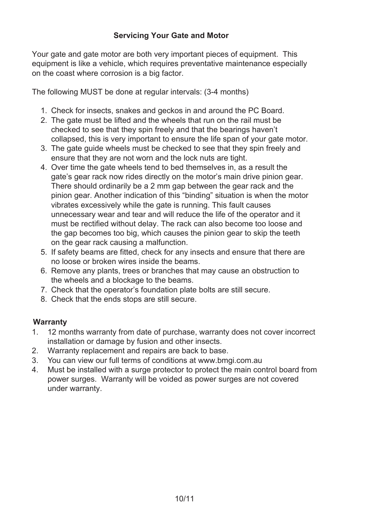#### **Servicing Your Gate and Motor**

Your gate and gate motor are both very important pieces of equipment. This equipment is like a vehicle, which requires preventative maintenance especially on the coast where corrosion is a big factor.

The following MUST be done at regular intervals: (3-4 months)

- 1. Check for insects, snakes and geckos in and around the PC Board.
- 2. The gate must be lifted and the wheels that run on the rail must be checked to see that they spin freely and that the bearings haven't collapsed, this is very important to ensure the life span of your gate motor.
- 3. The gate guide wheels must be checked to see that they spin freely and ensure that they are not worn and the lock nuts are tight.
- 4. Over time the gate wheels tend to bed themselves in, as a result the gate's gear rack now rides directly on the motor's main drive pinion gear. There should ordinarily be a 2 mm gap between the gear rack and the pinion gear. Another indication of this "binding" situation is when the motor vibrates excessively while the gate is running. This fault causes unnecessary wear and tear and will reduce the life of the operator and it must be rectified without delay. The rack can also become too loose and the gap becomes too big, which causes the pinion gear to skip the teeth on the gear rack causing a malfunction.
- 5. If safety beams are fitted, check for any insects and ensure that there are no loose or broken wires inside the beams.
- 6. Remove any plants, trees or branches that may cause an obstruction to the wheels and a blockage to the beams.
- 7. Check that the operator's foundation plate bolts are still secure.
- 8. Check that the ends stops are still secure.

#### **Warranty**

- 1. 12 months warranty from date of purchase, warranty does not cover incorrect installation or damage by fusion and other insects.
- 2. Warranty replacement and repairs are back to base.<br>3. You can view our full terms of conditions at www.bme
- 3. You can view our full terms of conditions at www.bmgi.com.au
- 4. Must be installed with a surge protector to protect the main control board from power surges. Warranty will be voided as power surges are not covered under warranty.